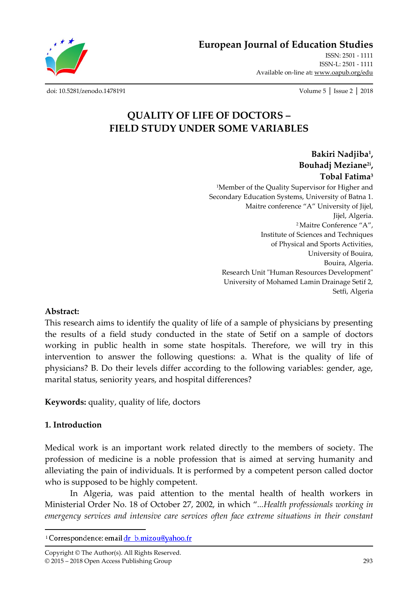**European Journal of Education Studies**

ISSN: 2501 - 1111 ISSN-L: 2501 - 1111 Available on-line at**:** www.oapub.org/edu

[doi: 10.5281/zenodo.1478191](http://dx.doi.org/10.5281/zenodo.1478191) Volume 5 │ Issue 2 │ 2018

# **QUALITY OF LIFE OF DOCTORS – FIELD STUDY UNDER SOME VARIABLES**

**Bakiri Nadjiba<sup>1</sup> , Bouhadj Meziane2i , Tobal Fatima<sup>3</sup>** <sup>1</sup>Member of the Quality Supervisor for Higher and Secondary Education Systems, University of Batna 1. Maitre conference "A" University of Jijel, Jijel, Algeria. <sup>2</sup>Maitre Conference "A", Institute of Sciences and Techniques of Physical and Sports Activities, University of Bouira, Bouira, Algeria. Research Unit "Human Resources Development" University of Mohamed Lamin Drainage Setif 2, Setfi, Algeria

#### **Abstract:**

This research aims to identify the quality of life of a sample of physicians by presenting the results of a field study conducted in the state of Setif on a sample of doctors working in public health in some state hospitals. Therefore, we will try in this intervention to answer the following questions: a. What is the quality of life of physicians? B. Do their levels differ according to the following variables: gender, age, marital status, seniority years, and hospital differences?

**Keywords:** quality, quality of life, doctors

#### **1. Introduction**

l

Medical work is an important work related directly to the members of society. The profession of medicine is a noble profession that is aimed at serving humanity and alleviating the pain of individuals. It is performed by a competent person called doctor who is supposed to be highly competent.

In Algeria, was paid attention to the mental health of health workers in Ministerial Order No. 18 of October 27, 2002, in which "*...Health professionals working in emergency services and intensive care services often face extreme situations in their constant* 

<sup>&</sup>lt;sup>i</sup> Correspondence: email dr b.mizou@yahoo.fr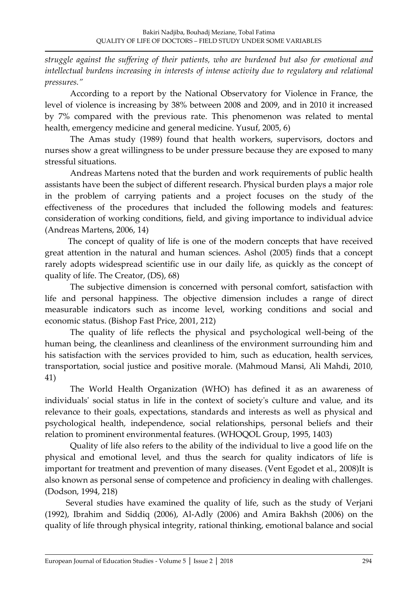*struggle against the suffering of their patients, who are burdened but also for emotional and intellectual burdens increasing in interests of intense activity due to regulatory and relational pressures."*

According to a report by the National Observatory for Violence in France, the level of violence is increasing by 38% between 2008 and 2009, and in 2010 it increased by 7% compared with the previous rate. This phenomenon was related to mental health, emergency medicine and general medicine. Yusuf, 2005, 6)

The Amas study (1989) found that health workers, supervisors, doctors and nurses show a great willingness to be under pressure because they are exposed to many stressful situations.

Andreas Martens noted that the burden and work requirements of public health assistants have been the subject of different research. Physical burden plays a major role in the problem of carrying patients and a project focuses on the study of the effectiveness of the procedures that included the following models and features: consideration of working conditions, field, and giving importance to individual advice (Andreas Martens, 2006, 14)

 The concept of quality of life is one of the modern concepts that have received great attention in the natural and human sciences. Ashol (2005) finds that a concept rarely adopts widespread scientific use in our daily life, as quickly as the concept of quality of life. The Creator, (DS), 68)

The subjective dimension is concerned with personal comfort, satisfaction with life and personal happiness. The objective dimension includes a range of direct measurable indicators such as income level, working conditions and social and economic status. (Bishop Fast Price, 2001, 212)

The quality of life reflects the physical and psychological well-being of the human being, the cleanliness and cleanliness of the environment surrounding him and his satisfaction with the services provided to him, such as education, health services, transportation, social justice and positive morale. (Mahmoud Mansi, Ali Mahdi, 2010, 41)

The World Health Organization (WHO) has defined it as an awareness of individuals' social status in life in the context of society's culture and value, and its relevance to their goals, expectations, standards and interests as well as physical and psychological health, independence, social relationships, personal beliefs and their relation to prominent environmental features. (WHOQOL Group, 1995, 1403)

Quality of life also refers to the ability of the individual to live a good life on the physical and emotional level, and thus the search for quality indicators of life is important for treatment and prevention of many diseases. (Vent Egodet et al., 2008)It is also known as personal sense of competence and proficiency in dealing with challenges. (Dodson, 1994, 218)

 Several studies have examined the quality of life, such as the study of Verjani (1992), Ibrahim and Siddiq (2006), Al-Adly (2006) and Amira Bakhsh (2006) on the quality of life through physical integrity, rational thinking, emotional balance and social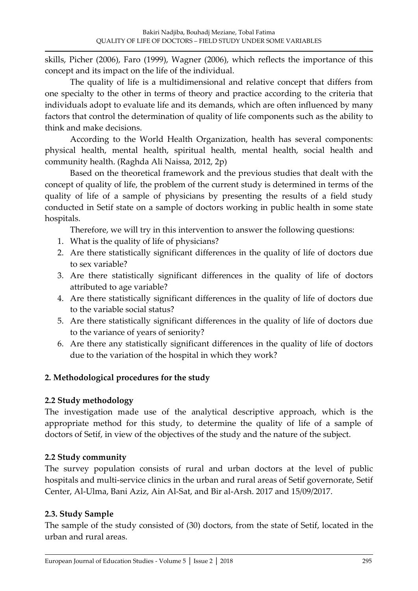skills, Picher (2006), Faro (1999), Wagner (2006), which reflects the importance of this concept and its impact on the life of the individual.

The quality of life is a multidimensional and relative concept that differs from one specialty to the other in terms of theory and practice according to the criteria that individuals adopt to evaluate life and its demands, which are often influenced by many factors that control the determination of quality of life components such as the ability to think and make decisions.

According to the World Health Organization, health has several components: physical health, mental health, spiritual health, mental health, social health and community health. (Raghda Ali Naissa, 2012, 2p)

Based on the theoretical framework and the previous studies that dealt with the concept of quality of life, the problem of the current study is determined in terms of the quality of life of a sample of physicians by presenting the results of a field study conducted in Setif state on a sample of doctors working in public health in some state hospitals.

Therefore, we will try in this intervention to answer the following questions:

- 1. What is the quality of life of physicians?
- 2. Are there statistically significant differences in the quality of life of doctors due to sex variable?
- 3. Are there statistically significant differences in the quality of life of doctors attributed to age variable?
- 4. Are there statistically significant differences in the quality of life of doctors due to the variable social status?
- 5. Are there statistically significant differences in the quality of life of doctors due to the variance of years of seniority?
- 6. Are there any statistically significant differences in the quality of life of doctors due to the variation of the hospital in which they work?

### **2. Methodological procedures for the study**

### **2.2 Study methodology**

The investigation made use of the analytical descriptive approach, which is the appropriate method for this study, to determine the quality of life of a sample of doctors of Setif, in view of the objectives of the study and the nature of the subject.

# **2.2 Study community**

The survey population consists of rural and urban doctors at the level of public hospitals and multi-service clinics in the urban and rural areas of Setif governorate, Setif Center, Al-Ulma, Bani Aziz, Ain Al-Sat, and Bir al-Arsh. 2017 and 15/09/2017.

# **2.3. Study Sample**

The sample of the study consisted of (30) doctors, from the state of Setif, located in the urban and rural areas.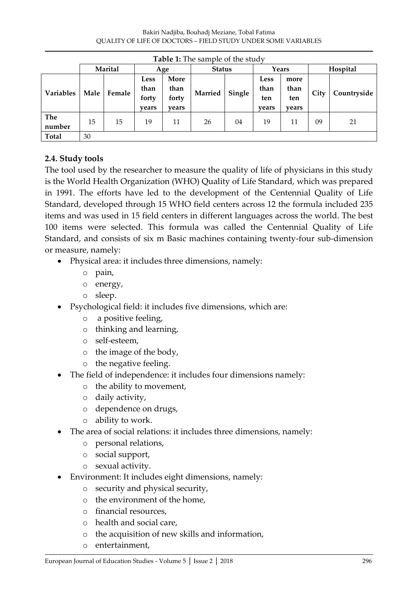| <b>Table 1:</b> The sample of the study |         |        |                                       |                                |               |        |                                     |                              |          |             |
|-----------------------------------------|---------|--------|---------------------------------------|--------------------------------|---------------|--------|-------------------------------------|------------------------------|----------|-------------|
|                                         | Marital |        | Age                                   |                                | <b>Status</b> |        | Years                               |                              | Hospital |             |
| <b>Variables</b>                        | Male    | Female | <b>Less</b><br>than<br>forty<br>years | More<br>than<br>forty<br>vears | Married       | Single | <b>Less</b><br>than<br>ten<br>years | more<br>than<br>ten<br>years | City     | Countryside |
| The<br>number                           | 15      | 15     | 19                                    | 11                             | 26            | 04     | 19                                  | 11                           | 09       | 21          |
| <b>Total</b>                            | 30      |        |                                       |                                |               |        |                                     |                              |          |             |

### **2.4. Study tools**

The tool used by the researcher to measure the quality of life of physicians in this study is the World Health Organization (WHO) Quality of Life Standard, which was prepared in 1991. The efforts have led to the development of the Centennial Quality of Life Standard, developed through 15 WHO field centers across 12 the formula included 235 items and was used in 15 field centers in different languages across the world. The best 100 items were selected. This formula was called the Centennial Quality of Life Standard, and consists of six m Basic machines containing twenty-four sub-dimension or measure, namely:

- Physical area: it includes three dimensions, namely:
	- o pain,
	- o energy,
	- o sleep.
- Psychological field: it includes five dimensions, which are:
	- o a positive feeling,
	- o thinking and learning,
	- o self-esteem,
	- o the image of the body,
	- o the negative feeling.
- The field of independence: it includes four dimensions namely:
	- o the ability to movement,
	- o daily activity,
	- o dependence on drugs,
	- o ability to work.
- The area of social relations: it includes three dimensions, namely:
	- o personal relations,
	- o social support,
	- o sexual activity.
- Environment: It includes eight dimensions, namely:
	- o security and physical security,
	- o the environment of the home,
	- o financial resources,
	- o health and social care,
	- o the acquisition of new skills and information,
	- o entertainment,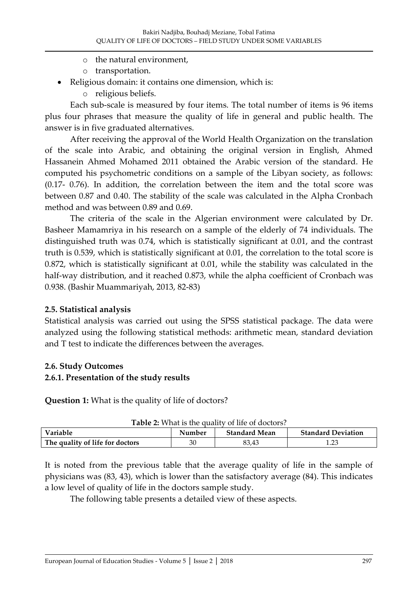- o the natural environment,
- o transportation.
- Religious domain: it contains one dimension, which is:
	- o religious beliefs.

Each sub-scale is measured by four items. The total number of items is 96 items plus four phrases that measure the quality of life in general and public health. The answer is in five graduated alternatives.

After receiving the approval of the World Health Organization on the translation of the scale into Arabic, and obtaining the original version in English, Ahmed Hassanein Ahmed Mohamed 2011 obtained the Arabic version of the standard. He computed his psychometric conditions on a sample of the Libyan society, as follows: (0.17- 0.76). In addition, the correlation between the item and the total score was between 0.87 and 0.40. The stability of the scale was calculated in the Alpha Cronbach method and was between 0.89 and 0.69.

The criteria of the scale in the Algerian environment were calculated by Dr. Basheer Mamamriya in his research on a sample of the elderly of 74 individuals. The distinguished truth was 0.74, which is statistically significant at 0.01, and the contrast truth is 0.539, which is statistically significant at 0.01, the correlation to the total score is 0.872, which is statistically significant at 0.01, while the stability was calculated in the half-way distribution, and it reached 0.873, while the alpha coefficient of Cronbach was 0.938. (Bashir Muammariyah, 2013, 82-83)

#### **2.5. Statistical analysis**

Statistical analysis was carried out using the SPSS statistical package. The data were analyzed using the following statistical methods: arithmetic mean, standard deviation and T test to indicate the differences between the averages.

#### **2.6. Study Outcomes**

#### **2.6.1. Presentation of the study results**

**Question 1:** What is the quality of life of doctors?

| <b>Table 2:</b> What is the quality of life of doctors? |        |                      |                           |  |  |  |  |  |  |
|---------------------------------------------------------|--------|----------------------|---------------------------|--|--|--|--|--|--|
| Variable                                                | Number | <b>Standard Mean</b> | <b>Standard Deviation</b> |  |  |  |  |  |  |
| The quality of life for doctors                         | 30     | 83.43                |                           |  |  |  |  |  |  |

| Table 2: What is the quality of life of doctors? |
|--------------------------------------------------|
|--------------------------------------------------|

It is noted from the previous table that the average quality of life in the sample of physicians was (83, 43), which is lower than the satisfactory average (84). This indicates a low level of quality of life in the doctors sample study.

The following table presents a detailed view of these aspects.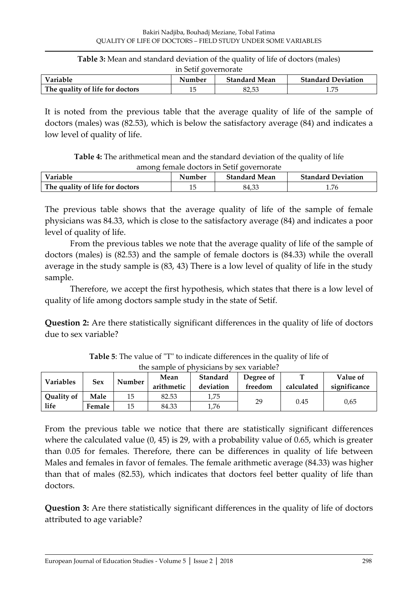| <b>Table 3:</b> Mean and standard deviation of the quality of life of doctors (males) |
|---------------------------------------------------------------------------------------|
| in Setif governorate                                                                  |

| <b>Variable</b>                 | Number | <b>Standard Mean</b> | <b>Standard Deviation</b> |
|---------------------------------|--------|----------------------|---------------------------|
| The quality of life for doctors |        | 87.53                | 1.75                      |

It is noted from the previous table that the average quality of life of the sample of doctors (males) was (82.53), which is below the satisfactory average (84) and indicates a low level of quality of life.

**Table 4:** The arithmetical mean and the standard deviation of the quality of life among female doctors in Setif governorate

| Variable                        | Number | <b>Standard Mean</b> | <b>Standard Deviation</b> |
|---------------------------------|--------|----------------------|---------------------------|
| The quality of life for doctors | 15     | 84.33                | 1.76                      |

The previous table shows that the average quality of life of the sample of female physicians was 84.33, which is close to the satisfactory average (84) and indicates a poor level of quality of life.

From the previous tables we note that the average quality of life of the sample of doctors (males) is (82.53) and the sample of female doctors is (84.33) while the overall average in the study sample is (83, 43) There is a low level of quality of life in the study sample.

Therefore, we accept the first hypothesis, which states that there is a low level of quality of life among doctors sample study in the state of Setif.

**Question 2:** Are there statistically significant differences in the quality of life of doctors due to sex variable?

|                  | uic bannon on bhívsiciúile d'v bea vaniable: |        |                         |          |           |            |              |  |  |  |  |
|------------------|----------------------------------------------|--------|-------------------------|----------|-----------|------------|--------------|--|--|--|--|
| <b>Variables</b> | Sex                                          | Number | Mean                    | Standard | Degree of |            | Value of     |  |  |  |  |
|                  |                                              |        | arithmetic<br>deviation |          | freedom   | calculated | significance |  |  |  |  |
| Quality of       | Male                                         | 15     | 82.53                   | 1,75     |           |            |              |  |  |  |  |
| life             | Female                                       | 15     | 84.33                   | 1,76     | 29        | 0.45       | 0.65         |  |  |  |  |

**Table 5**: The value of "T" to indicate differences in the quality of life of the sample of physicians by sex variable?

From the previous table we notice that there are statistically significant differences where the calculated value (0, 45) is 29, with a probability value of 0.65, which is greater than 0.05 for females. Therefore, there can be differences in quality of life between Males and females in favor of females. The female arithmetic average (84.33) was higher than that of males (82.53), which indicates that doctors feel better quality of life than doctors.

**Question 3:** Are there statistically significant differences in the quality of life of doctors attributed to age variable?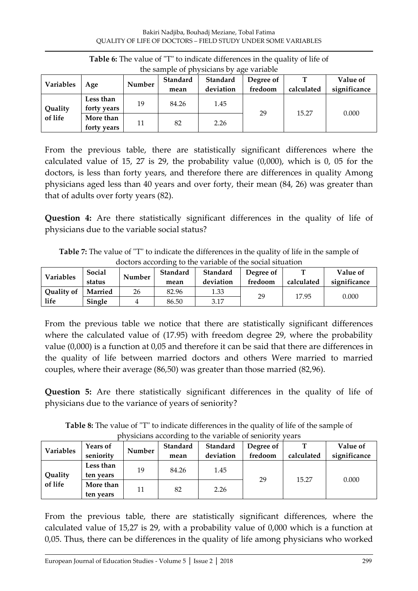| the sample of physicians by age variable |                          |        |                  |                       |                      |            |                          |  |  |  |
|------------------------------------------|--------------------------|--------|------------------|-----------------------|----------------------|------------|--------------------------|--|--|--|
| <b>Variables</b>                         | Age                      | Number | Standard<br>mean | Standard<br>deviation | Degree of<br>fredoom | calculated | Value of<br>significance |  |  |  |
| Quality<br>of life                       | Less than<br>forty years | 19     | 84.26            | 1.45                  |                      |            |                          |  |  |  |
|                                          | More than<br>forty years | 11     | 82               | 2.26                  | 29                   | 15.27      | 0.000                    |  |  |  |

**Table 6:** The value of "T" to indicate differences in the quality of life of  $t_{\rm sample}$  of physicials

From the previous table, there are statistically significant differences where the calculated value of 15, 27 is 29, the probability value (0,000), which is 0, 05 for the doctors, is less than forty years, and therefore there are differences in quality Among physicians aged less than 40 years and over forty, their mean (84, 26) was greater than that of adults over forty years (82).

**Question 4:** Are there statistically significant differences in the quality of life of physicians due to the variable social status?

**Table 7:** The value of "T" to indicate the differences in the quality of life in the sample of doctors according to the variable of the social situation

| Variables         | Social<br>status | Number | Standard<br>mean | Standard<br>deviation | Degree of<br>fredoom | calculated | Value of<br>significance |
|-------------------|------------------|--------|------------------|-----------------------|----------------------|------------|--------------------------|
| <b>Quality of</b> | Married          | 26     | 82.96            | 1.33                  | 29                   |            |                          |
| life              | Single           |        | 86.50            | 3.17                  |                      | 17.95      | 0.000                    |

From the previous table we notice that there are statistically significant differences where the calculated value of (17.95) with freedom degree 29, where the probability value (0,000) is a function at 0,05 and therefore it can be said that there are differences in the quality of life between married doctors and others Were married to married couples, where their average (86,50) was greater than those married (82,96).

**Question 5:** Are there statistically significant differences in the quality of life of physicians due to the variance of years of seniority?

**Table 8:** The value of "T" to indicate differences in the quality of life of the sample of physicians according to the variable of seniority years

|                    |                              |        |                  | physicians according to the variable of scritority |                      | <u>caro</u> |                          |
|--------------------|------------------------------|--------|------------------|----------------------------------------------------|----------------------|-------------|--------------------------|
| Variables          | <b>Years of</b><br>seniority | Number | Standard<br>mean | <b>Standard</b><br>deviation                       | Degree of<br>fredoom | calculated  | Value of<br>significance |
| Quality<br>of life | Less than<br>ten years       | 19     | 84.26            | 1.45                                               |                      |             |                          |
|                    | More than<br>ten years       | 11     | 82               | 2.26                                               | 29                   | 15.27       | 0.000                    |

From the previous table, there are statistically significant differences, where the calculated value of 15,27 is 29, with a probability value of 0,000 which is a function at 0,05. Thus, there can be differences in the quality of life among physicians who worked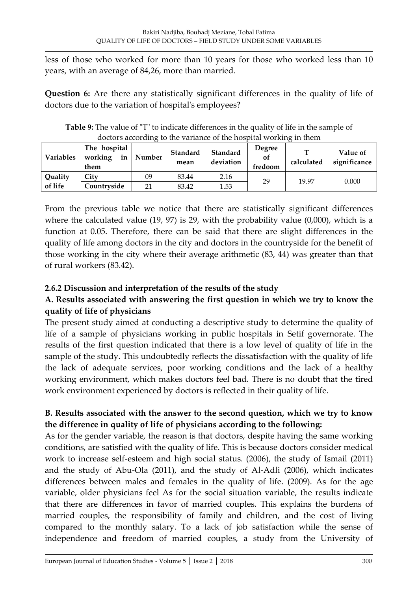less of those who worked for more than 10 years for those who worked less than 10 years, with an average of 84,26, more than married.

**Question 6:** Are there any statistically significant differences in the quality of life of doctors due to the variation of hospital's employees?

| <b>Variables</b> | The hospital<br>working<br>in<br>them | Number | Standard<br>mean | Standard<br>deviation | <b>Degree</b><br>οt<br>fredoom | m<br>calculated | Value of<br>significance |
|------------------|---------------------------------------|--------|------------------|-----------------------|--------------------------------|-----------------|--------------------------|
| Quality          | City                                  | 09     | 83.44            | 2.16                  | 29                             | 19.97           |                          |
| of life          | Countryside                           | 21     | 83.42            | 1.53                  |                                |                 | 0.000                    |

**Table 9:** The value of "T" to indicate differences in the quality of life in the sample of doctors according to the variance of the hospital working in them

From the previous table we notice that there are statistically significant differences where the calculated value (19, 97) is 29, with the probability value (0,000), which is a function at 0.05. Therefore, there can be said that there are slight differences in the quality of life among doctors in the city and doctors in the countryside for the benefit of those working in the city where their average arithmetic (83, 44) was greater than that of rural workers (83.42).

# **2.6.2 Discussion and interpretation of the results of the study**

# **A. Results associated with answering the first question in which we try to know the quality of life of physicians**

The present study aimed at conducting a descriptive study to determine the quality of life of a sample of physicians working in public hospitals in Setif governorate. The results of the first question indicated that there is a low level of quality of life in the sample of the study. This undoubtedly reflects the dissatisfaction with the quality of life the lack of adequate services, poor working conditions and the lack of a healthy working environment, which makes doctors feel bad. There is no doubt that the tired work environment experienced by doctors is reflected in their quality of life.

# **B. Results associated with the answer to the second question, which we try to know the difference in quality of life of physicians according to the following:**

As for the gender variable, the reason is that doctors, despite having the same working conditions, are satisfied with the quality of life. This is because doctors consider medical work to increase self-esteem and high social status. (2006), the study of Ismail (2011) and the study of Abu-Ola (2011), and the study of Al-Adli (2006), which indicates differences between males and females in the quality of life. (2009). As for the age variable, older physicians feel As for the social situation variable, the results indicate that there are differences in favor of married couples. This explains the burdens of married couples, the responsibility of family and children, and the cost of living compared to the monthly salary. To a lack of job satisfaction while the sense of independence and freedom of married couples, a study from the University of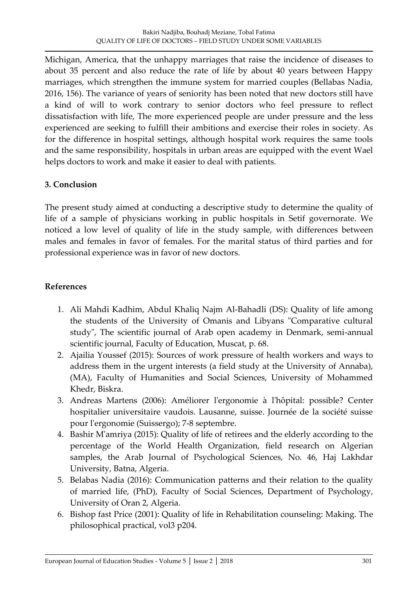Michigan, America, that the unhappy marriages that raise the incidence of diseases to about 35 percent and also reduce the rate of life by about 40 years between Happy marriages, which strengthen the immune system for married couples (Bellabas Nadia, 2016, 156). The variance of years of seniority has been noted that new doctors still have a kind of will to work contrary to senior doctors who feel pressure to reflect dissatisfaction with life, The more experienced people are under pressure and the less experienced are seeking to fulfill their ambitions and exercise their roles in society. As for the difference in hospital settings, although hospital work requires the same tools and the same responsibility, hospitals in urban areas are equipped with the event Wael helps doctors to work and make it easier to deal with patients.

### **3. Conclusion**

The present study aimed at conducting a descriptive study to determine the quality of life of a sample of physicians working in public hospitals in Setif governorate. We noticed a low level of quality of life in the study sample, with differences between males and females in favor of females. For the marital status of third parties and for professional experience was in favor of new doctors.

### **References**

- 1. Ali Mahdi Kadhim, Abdul Khaliq Najm Al-Bahadli (DS): Quality of life among the students of the University of Omanis and Libyans "Comparative cultural study", The scientific journal of Arab open academy in Denmark, semi-annual scientific journal, Faculty of Education, Muscat, p. 68.
- 2. Ajailia Youssef (2015): Sources of work pressure of health workers and ways to address them in the urgent interests (a field study at the University of Annaba), (MA), Faculty of Humanities and Social Sciences, University of Mohammed Khedr, Biskra.
- 3. Andreas Martens (2006): Améliorer l'ergonomie à l'hôpital: possible? Center hospitalier universitaire vaudois. Lausanne, suisse. Journée de la société suisse pour l'ergonomie (Suissergo); 7-8 septembre.
- 4. Bashir M'amriya (2015): Quality of life of retirees and the elderly according to the percentage of the World Health Organization, field research on Algerian samples, the Arab Journal of Psychological Sciences, No. 46, Haj Lakhdar University, Batna, Algeria.
- 5. Belabas Nadia (2016): Communication patterns and their relation to the quality of married life, (PhD), Faculty of Social Sciences, Department of Psychology, University of Oran 2, Algeria.
- 6. Bishop fast Price (2001): Quality of life in Rehabilitation counseling: Making. The philosophical practical, vol3 p204.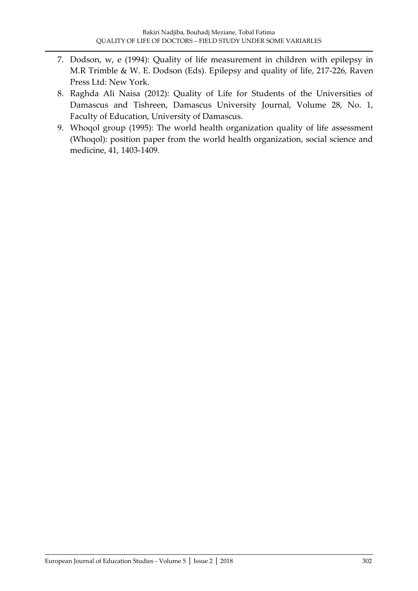- 7. Dodson, w, e (1994): Quality of life measurement in children with epilepsy in M.R Trimble & W. E. Dodson (Eds). Epilepsy and quality of life, 217-226, Raven Press Ltd: New York.
- 8. Raghda Ali Naisa (2012): Quality of Life for Students of the Universities of Damascus and Tishreen, Damascus University Journal, Volume 28, No. 1, Faculty of Education, University of Damascus.
- 9. Whoqol group (1995): The world health organization quality of life assessment (Whoqol): position paper from the world health organization, social science and medicine, 41, 1403-1409.